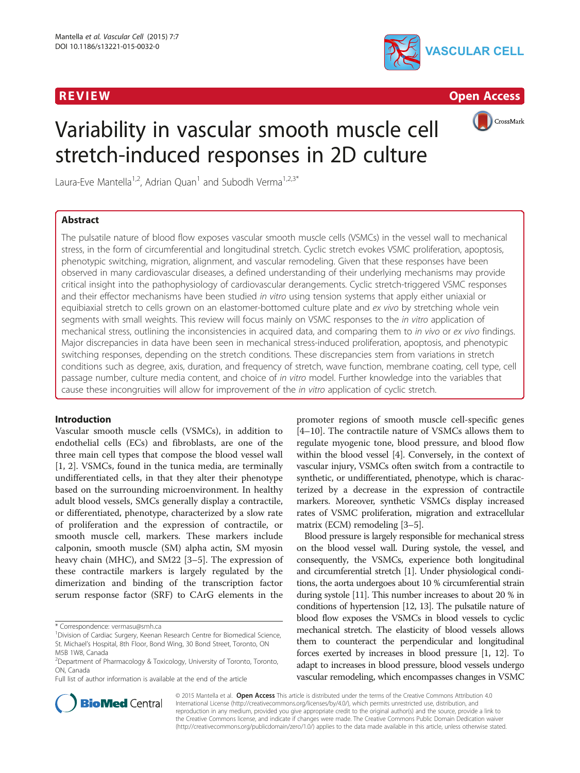

R EVI EW Open Access



# Variability in vascular smooth muscle cell stretch-induced responses in 2D culture

Laura-Eve Mantella<sup>1,2</sup>, Adrian Quan<sup>1</sup> and Subodh Verma<sup>1,2,3\*</sup>

# Abstract

The pulsatile nature of blood flow exposes vascular smooth muscle cells (VSMCs) in the vessel wall to mechanical stress, in the form of circumferential and longitudinal stretch. Cyclic stretch evokes VSMC proliferation, apoptosis, phenotypic switching, migration, alignment, and vascular remodeling. Given that these responses have been observed in many cardiovascular diseases, a defined understanding of their underlying mechanisms may provide critical insight into the pathophysiology of cardiovascular derangements. Cyclic stretch-triggered VSMC responses and their effector mechanisms have been studied in vitro using tension systems that apply either uniaxial or equibiaxial stretch to cells grown on an elastomer-bottomed culture plate and ex vivo by stretching whole vein segments with small weights. This review will focus mainly on VSMC responses to the *in vitro* application of mechanical stress, outlining the inconsistencies in acquired data, and comparing them to in vivo or ex vivo findings. Major discrepancies in data have been seen in mechanical stress-induced proliferation, apoptosis, and phenotypic switching responses, depending on the stretch conditions. These discrepancies stem from variations in stretch conditions such as degree, axis, duration, and frequency of stretch, wave function, membrane coating, cell type, cell passage number, culture media content, and choice of in vitro model. Further knowledge into the variables that cause these incongruities will allow for improvement of the in vitro application of cyclic stretch.

# Introduction

Vascular smooth muscle cells (VSMCs), in addition to endothelial cells (ECs) and fibroblasts, are one of the three main cell types that compose the blood vessel wall [[1, 2](#page-6-0)]. VSMCs, found in the tunica media, are terminally undifferentiated cells, in that they alter their phenotype based on the surrounding microenvironment. In healthy adult blood vessels, SMCs generally display a contractile, or differentiated, phenotype, characterized by a slow rate of proliferation and the expression of contractile, or smooth muscle cell, markers. These markers include calponin, smooth muscle (SM) alpha actin, SM myosin heavy chain (MHC), and SM22 [\[3](#page-6-0)–[5](#page-6-0)]. The expression of these contractile markers is largely regulated by the dimerization and binding of the transcription factor serum response factor (SRF) to CArG elements in the

Full list of author information is available at the end of the article

promoter regions of smooth muscle cell-specific genes [[4](#page-6-0)–[10\]](#page-6-0). The contractile nature of VSMCs allows them to regulate myogenic tone, blood pressure, and blood flow within the blood vessel [\[4\]](#page-6-0). Conversely, in the context of vascular injury, VSMCs often switch from a contractile to synthetic, or undifferentiated, phenotype, which is characterized by a decrease in the expression of contractile markers. Moreover, synthetic VSMCs display increased rates of VSMC proliferation, migration and extracellular matrix (ECM) remodeling [\[3](#page-6-0)–[5](#page-6-0)].

Blood pressure is largely responsible for mechanical stress on the blood vessel wall. During systole, the vessel, and consequently, the VSMCs, experience both longitudinal and circumferential stretch [\[1\]](#page-6-0). Under physiological conditions, the aorta undergoes about 10 % circumferential strain during systole [[11](#page-6-0)]. This number increases to about 20 % in conditions of hypertension [\[12, 13](#page-6-0)]. The pulsatile nature of blood flow exposes the VSMCs in blood vessels to cyclic mechanical stretch. The elasticity of blood vessels allows them to counteract the perpendicular and longitudinal forces exerted by increases in blood pressure [\[1, 12\]](#page-6-0). To adapt to increases in blood pressure, blood vessels undergo vascular remodeling, which encompasses changes in VSMC



© 2015 Mantella et al. Open Access This article is distributed under the terms of the Creative Commons Attribution 4.0 International License [\(http://creativecommons.org/licenses/by/4.0/](http://creativecommons.org/licenses/by/4.0/)), which permits unrestricted use, distribution, and reproduction in any medium, provided you give appropriate credit to the original author(s) and the source, provide a link to the Creative Commons license, and indicate if changes were made. The Creative Commons Public Domain Dedication waiver [\(http://creativecommons.org/publicdomain/zero/1.0/](http://creativecommons.org/publicdomain/zero/1.0/)) applies to the data made available in this article, unless otherwise stated.

<sup>\*</sup> Correspondence: [vermasu@smh.ca](mailto:vermasu@smh.ca) <sup>1</sup>

<sup>&</sup>lt;sup>1</sup> Division of Cardiac Surgery, Keenan Research Centre for Biomedical Science, St. Michael's Hospital, 8th Floor, Bond Wing, 30 Bond Street, Toronto, ON M5B 1W8, Canada

<sup>&</sup>lt;sup>2</sup>Department of Pharmacology & Toxicology, University of Toronto, Toronto, ON, Canada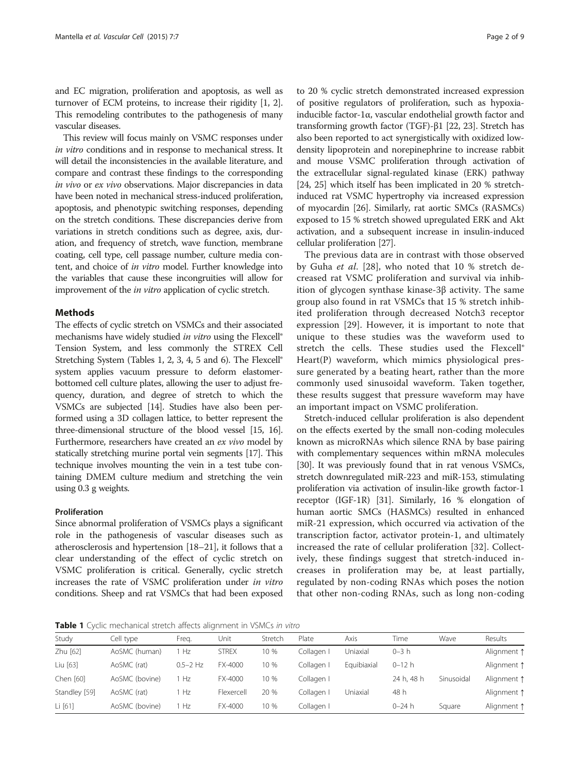and EC migration, proliferation and apoptosis, as well as turnover of ECM proteins, to increase their rigidity [\[1](#page-6-0), [2](#page-6-0)]. This remodeling contributes to the pathogenesis of many vascular diseases.

This review will focus mainly on VSMC responses under in vitro conditions and in response to mechanical stress. It will detail the inconsistencies in the available literature, and compare and contrast these findings to the corresponding in vivo or ex vivo observations. Major discrepancies in data have been noted in mechanical stress-induced proliferation, apoptosis, and phenotypic switching responses, depending on the stretch conditions. These discrepancies derive from variations in stretch conditions such as degree, axis, duration, and frequency of stretch, wave function, membrane coating, cell type, cell passage number, culture media content, and choice of in vitro model. Further knowledge into the variables that cause these incongruities will allow for improvement of the *in vitro* application of cyclic stretch.

# **Mathods**

The effects of cyclic stretch on VSMCs and their associated mechanisms have widely studied in vitro using the Flexcell® Tension System, and less commonly the STREX Cell Stretching System (Tables 1, [2](#page-2-0), [3](#page-2-0), [4](#page-3-0), [5](#page-3-0) and [6\)](#page-4-0). The Flexcell<sup>®</sup> system applies vacuum pressure to deform elastomerbottomed cell culture plates, allowing the user to adjust frequency, duration, and degree of stretch to which the VSMCs are subjected [\[14\]](#page-6-0). Studies have also been performed using a 3D collagen lattice, to better represent the three-dimensional structure of the blood vessel [[15](#page-6-0), [16](#page-6-0)]. Furthermore, researchers have created an ex vivo model by statically stretching murine portal vein segments [\[17\]](#page-6-0). This technique involves mounting the vein in a test tube containing DMEM culture medium and stretching the vein using 0.3 g weights.

# Proliferation

Since abnormal proliferation of VSMCs plays a significant role in the pathogenesis of vascular diseases such as atherosclerosis and hypertension [\[18](#page-6-0)–[21](#page-6-0)], it follows that a clear understanding of the effect of cyclic stretch on VSMC proliferation is critical. Generally, cyclic stretch increases the rate of VSMC proliferation under in vitro conditions. Sheep and rat VSMCs that had been exposed to 20 % cyclic stretch demonstrated increased expression of positive regulators of proliferation, such as hypoxiainducible factor-1 $\alpha$ , vascular endothelial growth factor and transforming growth factor (TGF)-β1 [\[22, 23\]](#page-6-0). Stretch has also been reported to act synergistically with oxidized lowdensity lipoprotein and norepinephrine to increase rabbit and mouse VSMC proliferation through activation of the extracellular signal-regulated kinase (ERK) pathway [[24](#page-6-0), [25\]](#page-6-0) which itself has been implicated in 20 % stretchinduced rat VSMC hypertrophy via increased expression of myocardin [[26](#page-6-0)]. Similarly, rat aortic SMCs (RASMCs) exposed to 15 % stretch showed upregulated ERK and Akt activation, and a subsequent increase in insulin-induced cellular proliferation [[27](#page-6-0)].

The previous data are in contrast with those observed by Guha et al. [[28\]](#page-6-0), who noted that 10 % stretch decreased rat VSMC proliferation and survival via inhibition of glycogen synthase kinase-3β activity. The same group also found in rat VSMCs that 15 % stretch inhibited proliferation through decreased Notch3 receptor expression [\[29](#page-7-0)]. However, it is important to note that unique to these studies was the waveform used to stretch the cells. These studies used the Flexcell® Heart(P) waveform, which mimics physiological pressure generated by a beating heart, rather than the more commonly used sinusoidal waveform. Taken together, these results suggest that pressure waveform may have an important impact on VSMC proliferation.

Stretch-induced cellular proliferation is also dependent on the effects exerted by the small non-coding molecules known as microRNAs which silence RNA by base pairing with complementary sequences within mRNA molecules [[30](#page-7-0)]. It was previously found that in rat venous VSMCs, stretch downregulated miR-223 and miR-153, stimulating proliferation via activation of insulin-like growth factor-1 receptor (IGF-1R) [\[31](#page-7-0)]. Similarly, 16 % elongation of human aortic SMCs (HASMCs) resulted in enhanced miR-21 expression, which occurred via activation of the transcription factor, activator protein-1, and ultimately increased the rate of cellular proliferation [[32\]](#page-7-0). Collectively, these findings suggest that stretch-induced increases in proliferation may be, at least partially, regulated by non-coding RNAs which poses the notion that other non-coding RNAs, such as long non-coding

Table 1 Cyclic mechanical stretch affects alignment in VSMCs in vitro

| Study         | Cell type      | Freg.      | Unit         | Stretch | Plate      | Axis        | Time       | Wave       | Results     |
|---------------|----------------|------------|--------------|---------|------------|-------------|------------|------------|-------------|
| Zhu [62]      | AoSMC (human)  | Hz         | <b>STREX</b> | 10 %    | Collagen I | Jniaxial    | $0 - 3 h$  |            | Alignment 1 |
| Liu [63]      | AoSMC (rat)    | $0.5-2$ Hz | FX-4000      | 10 %    | Collagen I | Equibiaxial | 0–12 h     |            | Alignment 1 |
| Chen [60]     | AoSMC (bovine) | Hz         | FX-4000      | 10 %    | Collagen I |             | 24 h, 48 h | Sinusoidal | Alignment 1 |
| Standley [59] | AoSMC (rat)    | Hz         | Flexercell   | 20 %    | Collagen I | Uniaxial    | 48 h       |            | Alignment 1 |
| Li [61]       | AoSMC (bovine) | Hz         | FX-4000      | 10 %    | Collagen I |             | $0 - 24 h$ | Square     | Alignment 1 |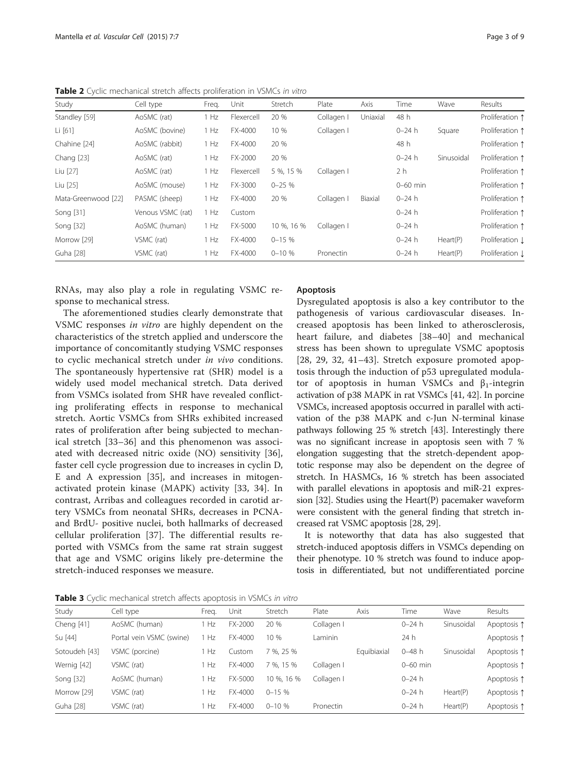| Study               | Cell type         | Freq. | Unit       | Stretch    | Plate      | Axis     | Time       | Wave       | Results         |
|---------------------|-------------------|-------|------------|------------|------------|----------|------------|------------|-----------------|
| Standley [59]       | AoSMC (rat)       | 1 Hz  | Flexercell | 20 %       | Collagen I | Uniaxial | 48 h       |            | Proliferation 1 |
| Li $[61]$           | AoSMC (bovine)    | 1 Hz  | FX-4000    | 10 %       | Collagen I |          | $0 - 24 h$ | Square     | Proliferation 1 |
| Chahine [24]        | AoSMC (rabbit)    | 1 Hz  | FX-4000    | 20 %       |            |          | 48 h       |            | Proliferation 1 |
| Chang [23]          | AoSMC (rat)       | 1 Hz  | FX-2000    | 20 %       |            |          | $0 - 24 h$ | Sinusoidal | Proliferation 1 |
| Liu [27]            | AoSMC (rat)       | 1 Hz  | Flexercell | 5 %, 15 %  | Collagen I |          | 2 h        |            | Proliferation 1 |
| Liu [25]            | AoSMC (mouse)     | 1 Hz  | FX-3000    | $0 - 25%$  |            |          | $0-60$ min |            | Proliferation 1 |
| Mata-Greenwood [22] | PASMC (sheep)     | 1 Hz  | FX-4000    | 20 %       | Collagen I | Biaxial  | 0–24 h     |            | Proliferation 1 |
| Song [31]           | Venous VSMC (rat) | 1 Hz  | Custom     |            |            |          | $0 - 24 h$ |            | Proliferation 1 |
| Song [32]           | AoSMC (human)     | 1 Hz  | FX-5000    | 10 %, 16 % | Collagen I |          | 0–24 h     |            | Proliferation 1 |
| Morrow [29]         | VSMC (rat)        | 1 Hz  | FX-4000    | $0 - 15%$  |            |          | 0–24 h     | Heart(P)   | Proliferation Į |
| Guha [28]           | VSMC (rat)        | 1 Hz  | FX-4000    | $0 - 10%$  | Pronectin  |          | 0–24 h     | Heart(P)   | Proliferation Į |

<span id="page-2-0"></span>**Table 2** Cyclic mechanical stretch affects proliferation in VSMCs in vitro

RNAs, may also play a role in regulating VSMC response to mechanical stress.

The aforementioned studies clearly demonstrate that VSMC responses in vitro are highly dependent on the characteristics of the stretch applied and underscore the importance of concomitantly studying VSMC responses to cyclic mechanical stretch under in vivo conditions. The spontaneously hypertensive rat (SHR) model is a widely used model mechanical stretch. Data derived from VSMCs isolated from SHR have revealed conflicting proliferating effects in response to mechanical stretch. Aortic VSMCs from SHRs exhibited increased rates of proliferation after being subjected to mechanical stretch [\[33](#page-7-0)–[36](#page-7-0)] and this phenomenon was associated with decreased nitric oxide (NO) sensitivity [[36](#page-7-0)], faster cell cycle progression due to increases in cyclin D, E and A expression [[35](#page-7-0)], and increases in mitogenactivated protein kinase (MAPK) activity [[33, 34](#page-7-0)]. In contrast, Arribas and colleagues recorded in carotid artery VSMCs from neonatal SHRs, decreases in PCNAand BrdU- positive nuclei, both hallmarks of decreased cellular proliferation [[37](#page-7-0)]. The differential results reported with VSMCs from the same rat strain suggest that age and VSMC origins likely pre-determine the stretch-induced responses we measure.

# Apoptosis

Dysregulated apoptosis is also a key contributor to the pathogenesis of various cardiovascular diseases. Increased apoptosis has been linked to atherosclerosis, heart failure, and diabetes [[38](#page-7-0)–[40\]](#page-7-0) and mechanical stress has been shown to upregulate VSMC apoptosis [[28,](#page-6-0) [29, 32](#page-7-0), [41](#page-7-0)–[43\]](#page-7-0). Stretch exposure promoted apoptosis through the induction of p53 upregulated modulator of apoptosis in human VSMCs and  $β_1$ -integrin activation of p38 MAPK in rat VSMCs [\[41, 42](#page-7-0)]. In porcine VSMCs, increased apoptosis occurred in parallel with activation of the p38 MAPK and c-Jun N-terminal kinase pathways following 25 % stretch [\[43](#page-7-0)]. Interestingly there was no significant increase in apoptosis seen with 7 % elongation suggesting that the stretch-dependent apoptotic response may also be dependent on the degree of stretch. In HASMCs, 16 % stretch has been associated with parallel elevations in apoptosis and miR-21 expression [\[32\]](#page-7-0). Studies using the Heart(P) pacemaker waveform were consistent with the general finding that stretch increased rat VSMC apoptosis [[28](#page-6-0), [29](#page-7-0)].

It is noteworthy that data has also suggested that stretch-induced apoptosis differs in VSMCs depending on their phenotype. 10 % stretch was found to induce apoptosis in differentiated, but not undifferentiated porcine

Table 3 Cyclic mechanical stretch affects apoptosis in VSMCs in vitro

| Study         | Cell type                | Freg. | Unit    | Stretch     | Plate      | Axis        | Time       | Wave       | Results     |
|---------------|--------------------------|-------|---------|-------------|------------|-------------|------------|------------|-------------|
| Cheng [41]    | AoSMC (human)            | Hz    | FX-2000 | 20 %        | Collagen I |             | $0 - 24 h$ | Sinusoidal | Apoptosis 1 |
| Su [44]       | Portal vein VSMC (swine) | Hz    | FX-4000 | 10 %        | Laminin    |             | 24h        |            | Apoptosis 1 |
| Sotoudeh [43] | VSMC (porcine)           | Hz    | Custom  | 7 %, 25 %   |            | Equibiaxial | $0 - 48$ h | Sinusoidal | Apoptosis 1 |
| Wernig [42]   | VSMC (rat)               | Hz    | FX-4000 | 7 %, 15 %   | Collagen I |             | $0-60$ min |            | Apoptosis 1 |
| Song [32]     | AoSMC (human)            | Hz    | FX-5000 | 10 %, 16 %  | Collagen I |             | $0 - 24 h$ |            | Apoptosis 1 |
| Morrow [29]   | VSMC (rat)               | Hz    | FX-4000 | $0 - 15%$   |            |             | $0 - 24 h$ | Heart(P)   | Apoptosis 1 |
| Guha [28]     | VSMC (rat)               | Hz    | FX-4000 | $0 - 10 \%$ | Pronectin  |             | $0 - 24 h$ | Heart(P)   | Apoptosis 1 |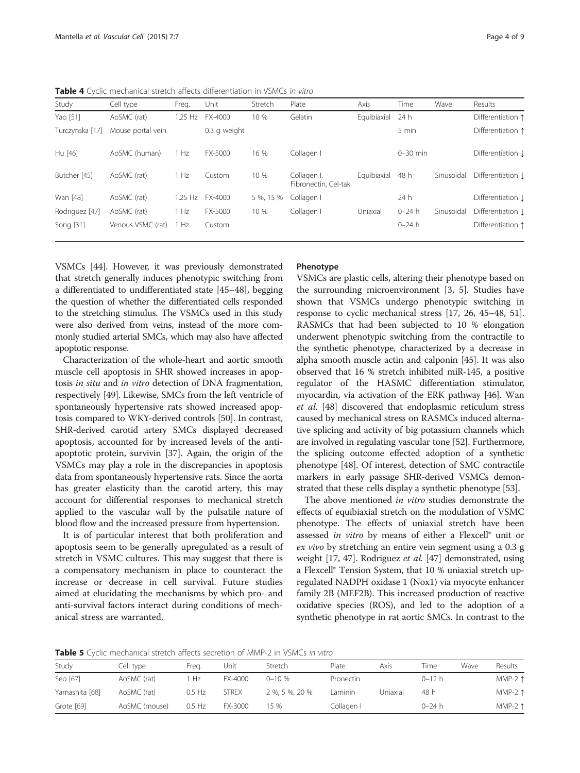<span id="page-3-0"></span>Table 4 Cyclic mechanical stretch affects differentiation in VSMCs in vitro

| Study           | Cell type         | Freg.     | Unit         | Stretch   | Plate                               | Axis        | Time         | Wave       | Results           |
|-----------------|-------------------|-----------|--------------|-----------|-------------------------------------|-------------|--------------|------------|-------------------|
| Yao [51]        | AoSMC (rat)       | $1.25$ Hz | FX-4000      | 10 %      | Gelatin                             | Equibiaxial | 24 h         |            | Differentiation 1 |
| Turczynska [17] | Mouse portal vein |           | 0.3 g weight |           |                                     |             | 5 min        |            | Differentiation 1 |
| Hu [46]         | AoSMC (human)     | 1 Hz      | FX-5000      | 16 %      | Collagen I                          |             | $0 - 30$ min |            | Differentiation 1 |
| Butcher [45]    | AoSMC (rat)       | 1 Hz      | Custom       | 10 %      | Collagen I,<br>Fibronectin, Cel-tak | Equibiaxial | 48 h         | Sinusoidal | Differentiation 1 |
| Wan [48]        | AoSMC (rat)       | $1.25$ Hz | FX-4000      | 5 %, 15 % | Collagen I                          |             | 24 h         |            | Differentiation 1 |
| Rodriguez [47]  | AoSMC (rat)       | 1 Hz      | FX-5000      | 10 %      | Collagen I                          | Uniaxial    | $0 - 24 h$   | Sinusoidal | Differentiation 1 |
| Song [31]       | Venous VSMC (rat) | 1 Hz      | Custom       |           |                                     |             | $0 - 24 h$   |            | Differentiation 1 |

VSMCs [[44\]](#page-7-0). However, it was previously demonstrated that stretch generally induces phenotypic switching from a differentiated to undifferentiated state [[45](#page-7-0)–[48\]](#page-7-0), begging the question of whether the differentiated cells responded to the stretching stimulus. The VSMCs used in this study were also derived from veins, instead of the more commonly studied arterial SMCs, which may also have affected apoptotic response.

Characterization of the whole-heart and aortic smooth muscle cell apoptosis in SHR showed increases in apoptosis in situ and in vitro detection of DNA fragmentation, respectively [\[49\]](#page-7-0). Likewise, SMCs from the left ventricle of spontaneously hypertensive rats showed increased apoptosis compared to WKY-derived controls [[50](#page-7-0)]. In contrast, SHR-derived carotid artery SMCs displayed decreased apoptosis, accounted for by increased levels of the antiapoptotic protein, survivin [[37](#page-7-0)]. Again, the origin of the VSMCs may play a role in the discrepancies in apoptosis data from spontaneously hypertensive rats. Since the aorta has greater elasticity than the carotid artery, this may account for differential responses to mechanical stretch applied to the vascular wall by the pulsatile nature of blood flow and the increased pressure from hypertension.

It is of particular interest that both proliferation and apoptosis seem to be generally upregulated as a result of stretch in VSMC cultures. This may suggest that there is a compensatory mechanism in place to counteract the increase or decrease in cell survival. Future studies aimed at elucidating the mechanisms by which pro- and anti-survival factors interact during conditions of mechanical stress are warranted.

# Phenotype

VSMCs are plastic cells, altering their phenotype based on the surrounding microenvironment [[3](#page-6-0), [5](#page-6-0)]. Studies have shown that VSMCs undergo phenotypic switching in response to cyclic mechanical stress [[17](#page-6-0), [26](#page-6-0), [45](#page-7-0)–[48, 51](#page-7-0)]. RASMCs that had been subjected to 10 % elongation underwent phenotypic switching from the contractile to the synthetic phenotype, characterized by a decrease in alpha smooth muscle actin and calponin [[45](#page-7-0)]. It was also observed that 16 % stretch inhibited miR-145, a positive regulator of the HASMC differentiation stimulator, myocardin, via activation of the ERK pathway [\[46](#page-7-0)]. Wan et al. [[48\]](#page-7-0) discovered that endoplasmic reticulum stress caused by mechanical stress on RASMCs induced alternative splicing and activity of big potassium channels which are involved in regulating vascular tone [[52\]](#page-7-0). Furthermore, the splicing outcome effected adoption of a synthetic phenotype [\[48\]](#page-7-0). Of interest, detection of SMC contractile markers in early passage SHR-derived VSMCs demonstrated that these cells display a synthetic phenotype [\[53\]](#page-7-0).

The above mentioned in vitro studies demonstrate the effects of equibiaxial stretch on the modulation of VSMC phenotype. The effects of uniaxial stretch have been assessed in vitro by means of either a Flexcell<sup>®</sup> unit or ex vivo by stretching an entire vein segment using a 0.3 g weight [\[17](#page-6-0), [47](#page-7-0)]. Rodriguez et al. [[47](#page-7-0)] demonstrated, using a Flexcell® Tension System, that 10 % uniaxial stretch upregulated NADPH oxidase 1 (Nox1) via myocyte enhancer family 2B (MEF2B). This increased production of reactive oxidative species (ROS), and led to the adoption of a synthetic phenotype in rat aortic SMCs. In contrast to the

**Table 5** Cyclic mechanical stretch affects secretion of MMP-2 in VSMCs in vitro

| Study          | Cell type     | Frea.    | Unit         | Stretch        | Plate      | Axis     | Time       | Wave | Results          |  |  |  |
|----------------|---------------|----------|--------------|----------------|------------|----------|------------|------|------------------|--|--|--|
| Seo [67]       | AoSMC (rat)   | Hz       | FX-4000      | $0 - 10%$      | Pronectin  |          | $0 - 12 h$ |      | MMP-2 $\uparrow$ |  |  |  |
| Yamashita [68] | AoSMC (rat)   | 0.5 Hz   | <b>STREX</b> | 2 %, 5 %, 20 % | Laminin    | Jniaxial | 48 h       |      | MMP-2 $\uparrow$ |  |  |  |
| Grote [69]     | AoSMC (mouse) | $0.5$ Hz | FX-3000      | 15 %           | Collagen I |          | $0 - 24 h$ |      | MMP-2 $\uparrow$ |  |  |  |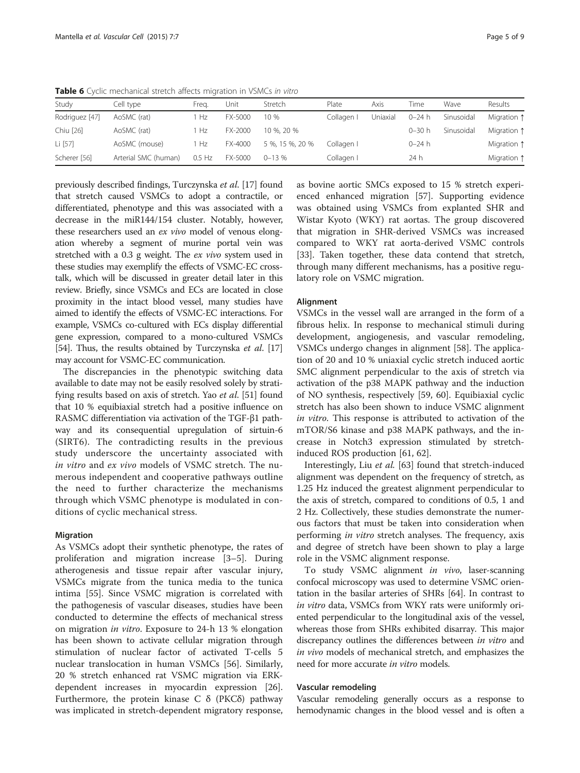|                | <b>I WIND A</b> CYCRE THEE REAGAN SECTED BREEZED THIS REAGANT THE VOID CO. THE REAGE |          |         |                 |            |          |            |            |             |  |  |  |
|----------------|--------------------------------------------------------------------------------------|----------|---------|-----------------|------------|----------|------------|------------|-------------|--|--|--|
| Study          | Cell type                                                                            | Frea.    | Unit    | Stretch         | Plate      | Axis     | Time       | Wave       | Results     |  |  |  |
| Rodriguez [47] | AoSMC (rat)                                                                          | Hz       | FX-5000 | 10 %            | Collagen   | Uniaxial | $0 - 24 h$ | Sinusoidal | Migration 1 |  |  |  |
| Chiu [26]      | AoSMC (rat)                                                                          | Hz.      | FX-2000 | 10 %, 20 %      |            |          | $0 - 30 h$ | Sinusoidal | Migration 1 |  |  |  |
| Li [57]        | AoSMC (mouse)                                                                        | Hz       | FX-4000 | 5 %, 15 %, 20 % | Collagen I |          | $0 - 24 h$ |            | Migration 1 |  |  |  |
| Scherer [56]   | Arterial SMC (human)                                                                 | $0.5$ Hz | FX-5000 | $0 - 13%$       | Collagen   |          | 24 h       |            | Migration 1 |  |  |  |

<span id="page-4-0"></span>Table 6 Cyclic mechanical stretch affects migration in VSMCs in vitro

previously described findings, Turczynska et al. [[17](#page-6-0)] found that stretch caused VSMCs to adopt a contractile, or differentiated, phenotype and this was associated with a decrease in the miR144/154 cluster. Notably, however, these researchers used an ex vivo model of venous elongation whereby a segment of murine portal vein was stretched with a 0.3 g weight. The ex vivo system used in these studies may exemplify the effects of VSMC-EC crosstalk, which will be discussed in greater detail later in this review. Briefly, since VSMCs and ECs are located in close proximity in the intact blood vessel, many studies have aimed to identify the effects of VSMC-EC interactions. For example, VSMCs co-cultured with ECs display differential gene expression, compared to a mono-cultured VSMCs [[54](#page-7-0)]. Thus, the results obtained by Turczynska et al. [\[17](#page-6-0)] may account for VSMC-EC communication.

The discrepancies in the phenotypic switching data available to date may not be easily resolved solely by strati-fying results based on axis of stretch. Yao et al. [\[51](#page-7-0)] found that 10 % equibiaxial stretch had a positive influence on RASMC differentiation via activation of the TGF-β1 pathway and its consequential upregulation of sirtuin-6 (SIRT6). The contradicting results in the previous study underscore the uncertainty associated with in vitro and ex vivo models of VSMC stretch. The numerous independent and cooperative pathways outline the need to further characterize the mechanisms through which VSMC phenotype is modulated in conditions of cyclic mechanical stress.

# Migration

As VSMCs adopt their synthetic phenotype, the rates of proliferation and migration increase [\[3](#page-6-0)–[5\]](#page-6-0). During atherogenesis and tissue repair after vascular injury, VSMCs migrate from the tunica media to the tunica intima [\[55\]](#page-7-0). Since VSMC migration is correlated with the pathogenesis of vascular diseases, studies have been conducted to determine the effects of mechanical stress on migration in vitro. Exposure to 24-h 13 % elongation has been shown to activate cellular migration through stimulation of nuclear factor of activated T-cells 5 nuclear translocation in human VSMCs [[56\]](#page-7-0). Similarly, 20 % stretch enhanced rat VSMC migration via ERKdependent increases in myocardin expression [\[26](#page-6-0)]. Furthermore, the protein kinase C δ (PKCδ) pathway was implicated in stretch-dependent migratory response,

as bovine aortic SMCs exposed to 15 % stretch experienced enhanced migration [[57\]](#page-7-0). Supporting evidence was obtained using VSMCs from explanted SHR and Wistar Kyoto (WKY) rat aortas. The group discovered that migration in SHR-derived VSMCs was increased compared to WKY rat aorta-derived VSMC controls [[33\]](#page-7-0). Taken together, these data contend that stretch, through many different mechanisms, has a positive regulatory role on VSMC migration.

# Alignment

VSMCs in the vessel wall are arranged in the form of a fibrous helix. In response to mechanical stimuli during development, angiogenesis, and vascular remodeling, VSMCs undergo changes in alignment [\[58\]](#page-7-0). The application of 20 and 10 % uniaxial cyclic stretch induced aortic SMC alignment perpendicular to the axis of stretch via activation of the p38 MAPK pathway and the induction of NO synthesis, respectively [\[59](#page-7-0), [60\]](#page-7-0). Equibiaxial cyclic stretch has also been shown to induce VSMC alignment in vitro. This response is attributed to activation of the mTOR/S6 kinase and p38 MAPK pathways, and the increase in Notch3 expression stimulated by stretchinduced ROS production [\[61, 62\]](#page-7-0).

Interestingly, Liu et al. [\[63\]](#page-7-0) found that stretch-induced alignment was dependent on the frequency of stretch, as 1.25 Hz induced the greatest alignment perpendicular to the axis of stretch, compared to conditions of 0.5, 1 and 2 Hz. Collectively, these studies demonstrate the numerous factors that must be taken into consideration when performing in vitro stretch analyses. The frequency, axis and degree of stretch have been shown to play a large role in the VSMC alignment response.

To study VSMC alignment in vivo, laser-scanning confocal microscopy was used to determine VSMC orientation in the basilar arteries of SHRs [\[64\]](#page-7-0). In contrast to in vitro data, VSMCs from WKY rats were uniformly oriented perpendicular to the longitudinal axis of the vessel, whereas those from SHRs exhibited disarray. This major discrepancy outlines the differences between *in vitro* and in vivo models of mechanical stretch, and emphasizes the need for more accurate in vitro models.

# Vascular remodeling

Vascular remodeling generally occurs as a response to hemodynamic changes in the blood vessel and is often a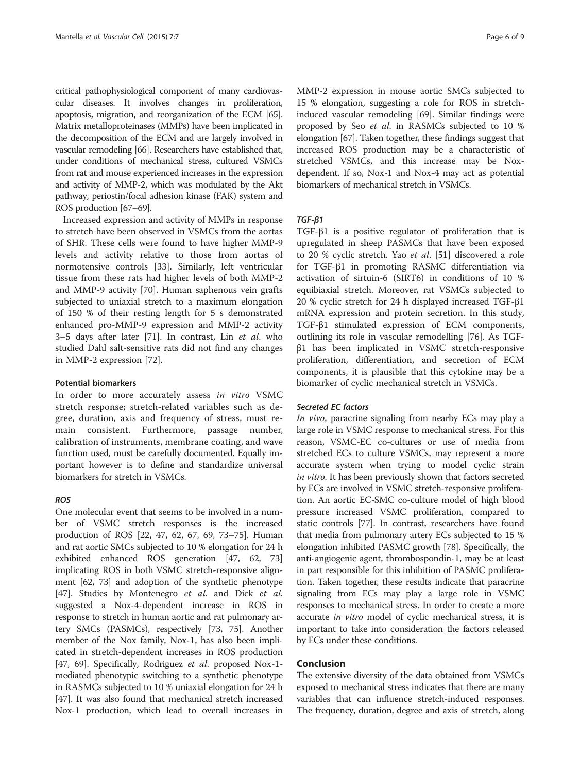critical pathophysiological component of many cardiovascular diseases. It involves changes in proliferation, apoptosis, migration, and reorganization of the ECM [\[65](#page-7-0)]. Matrix metalloproteinases (MMPs) have been implicated in the decomposition of the ECM and are largely involved in vascular remodeling [\[66\]](#page-7-0). Researchers have established that, under conditions of mechanical stress, cultured VSMCs from rat and mouse experienced increases in the expression and activity of MMP-2, which was modulated by the Akt pathway, periostin/focal adhesion kinase (FAK) system and ROS production [\[67](#page-7-0)–[69](#page-7-0)].

Increased expression and activity of MMPs in response to stretch have been observed in VSMCs from the aortas of SHR. These cells were found to have higher MMP-9 levels and activity relative to those from aortas of normotensive controls [\[33](#page-7-0)]. Similarly, left ventricular tissue from these rats had higher levels of both MMP-2 and MMP-9 activity [\[70](#page-7-0)]. Human saphenous vein grafts subjected to uniaxial stretch to a maximum elongation of 150 % of their resting length for 5 s demonstrated enhanced pro-MMP-9 expression and MMP-2 activity 3–5 days after later [\[71](#page-7-0)]. In contrast, Lin *et al.* who studied Dahl salt-sensitive rats did not find any changes in MMP-2 expression [[72\]](#page-7-0).

#### Potential biomarkers

In order to more accurately assess in vitro VSMC stretch response; stretch-related variables such as degree, duration, axis and frequency of stress, must remain consistent. Furthermore, passage number, calibration of instruments, membrane coating, and wave function used, must be carefully documented. Equally important however is to define and standardize universal biomarkers for stretch in VSMCs.

# ROS

One molecular event that seems to be involved in a number of VSMC stretch responses is the increased production of ROS [\[22,](#page-6-0) [47, 62](#page-7-0), [67](#page-7-0), [69, 73](#page-7-0)–[75](#page-7-0)]. Human and rat aortic SMCs subjected to 10 % elongation for 24 h exhibited enhanced ROS generation [[47](#page-7-0), [62, 73](#page-7-0)] implicating ROS in both VSMC stretch-responsive alignment [\[62, 73](#page-7-0)] and adoption of the synthetic phenotype [[47](#page-7-0)]. Studies by Montenegro *et al.* and Dick *et al.* suggested a Nox-4-dependent increase in ROS in response to stretch in human aortic and rat pulmonary artery SMCs (PASMCs), respectively [\[73, 75](#page-7-0)]. Another member of the Nox family, Nox-1, has also been implicated in stretch-dependent increases in ROS production [[47](#page-7-0), [69](#page-7-0)]. Specifically, Rodriguez et al. proposed Nox-1mediated phenotypic switching to a synthetic phenotype in RASMCs subjected to 10 % uniaxial elongation for 24 h [[47](#page-7-0)]. It was also found that mechanical stretch increased Nox-1 production, which lead to overall increases in MMP-2 expression in mouse aortic SMCs subjected to 15 % elongation, suggesting a role for ROS in stretchinduced vascular remodeling [\[69\]](#page-7-0). Similar findings were proposed by Seo et al. in RASMCs subjected to 10 % elongation [\[67\]](#page-7-0). Taken together, these findings suggest that increased ROS production may be a characteristic of stretched VSMCs, and this increase may be Noxdependent. If so, Nox-1 and Nox-4 may act as potential biomarkers of mechanical stretch in VSMCs.

# TGF-β1

TGF-β1 is a positive regulator of proliferation that is upregulated in sheep PASMCs that have been exposed to 20 % cyclic stretch. Yao et al. [\[51\]](#page-7-0) discovered a role for TGF-β1 in promoting RASMC differentiation via activation of sirtuin-6 (SIRT6) in conditions of 10 % equibiaxial stretch. Moreover, rat VSMCs subjected to 20 % cyclic stretch for 24 h displayed increased TGF-β1 mRNA expression and protein secretion. In this study, TGF-β1 stimulated expression of ECM components, outlining its role in vascular remodelling [[76\]](#page-8-0). As TGFβ1 has been implicated in VSMC stretch-responsive proliferation, differentiation, and secretion of ECM components, it is plausible that this cytokine may be a biomarker of cyclic mechanical stretch in VSMCs.

#### Secreted EC factors

In vivo, paracrine signaling from nearby ECs may play a large role in VSMC response to mechanical stress. For this reason, VSMC-EC co-cultures or use of media from stretched ECs to culture VSMCs, may represent a more accurate system when trying to model cyclic strain in vitro. It has been previously shown that factors secreted by ECs are involved in VSMC stretch-responsive proliferation. An aortic EC-SMC co-culture model of high blood pressure increased VSMC proliferation, compared to static controls [[77](#page-8-0)]. In contrast, researchers have found that media from pulmonary artery ECs subjected to 15 % elongation inhibited PASMC growth [\[78](#page-8-0)]. Specifically, the anti-angiogenic agent, thrombospondin-1, may be at least in part responsible for this inhibition of PASMC proliferation. Taken together, these results indicate that paracrine signaling from ECs may play a large role in VSMC responses to mechanical stress. In order to create a more accurate *in vitro* model of cyclic mechanical stress, it is important to take into consideration the factors released by ECs under these conditions.

#### Conclusion

The extensive diversity of the data obtained from VSMCs exposed to mechanical stress indicates that there are many variables that can influence stretch-induced responses. The frequency, duration, degree and axis of stretch, along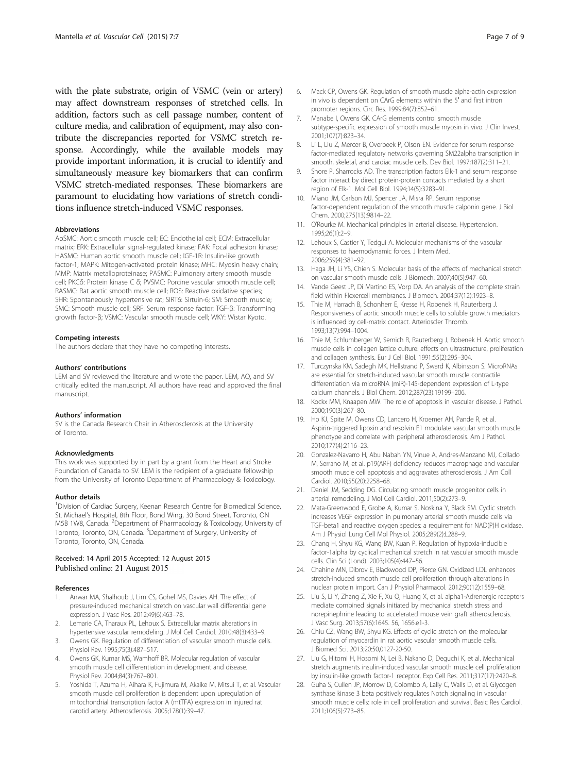<span id="page-6-0"></span>with the plate substrate, origin of VSMC (vein or artery) may affect downstream responses of stretched cells. In addition, factors such as cell passage number, content of culture media, and calibration of equipment, may also contribute the discrepancies reported for VSMC stretch response. Accordingly, while the available models may provide important information, it is crucial to identify and simultaneously measure key biomarkers that can confirm VSMC stretch-mediated responses. These biomarkers are paramount to elucidating how variations of stretch conditions influence stretch-induced VSMC responses.

#### Abbreviations

AoSMC: Aortic smooth muscle cell; EC: Endothelial cell; ECM: Extracellular matrix; ERK: Extracellular signal-regulated kinase; FAK: Focal adhesion kinase; HASMC: Human aortic smooth muscle cell; IGF-1R: Insulin-like growth factor-1; MAPK: Mitogen-activated protein kinase; MHC: Myosin heavy chain; MMP: Matrix metalloproteinase; PASMC: Pulmonary artery smooth muscle cell; PKCδ: Protein kinase C δ; PVSMC: Porcine vascular smooth muscle cell; RASMC: Rat aortic smooth muscle cell; ROS: Reactive oxidative species; SHR: Spontaneously hypertensive rat; SIRT6: Sirtuin-6; SM: Smooth muscle; SMC: Smooth muscle cell; SRF: Serum response factor; TGF-β: Transforming growth factor-β; VSMC: Vascular smooth muscle cell; WKY: Wistar Kyoto.

#### Competing interests

The authors declare that they have no competing interests.

#### Authors' contributions

LEM and SV reviewed the literature and wrote the paper. LEM, AQ, and SV critically edited the manuscript. All authors have read and approved the final manuscript.

#### Authors' information

SV is the Canada Research Chair in Atherosclerosis at the University of Toronto.

#### Acknowledgments

This work was supported by in part by a grant from the Heart and Stroke Foundation of Canada to SV. LEM is the recipient of a graduate fellowship from the University of Toronto Department of Pharmacology & Toxicology.

#### Author details

<sup>1</sup> Division of Cardiac Surgery, Keenan Research Centre for Biomedical Science, St. Michael's Hospital, 8th Floor, Bond Wing, 30 Bond Street, Toronto, ON M5B 1W8, Canada. <sup>2</sup>Department of Pharmacology & Toxicology, University of Toronto, Toronto, ON, Canada. <sup>3</sup>Department of Surgery, University of Toronto, Toronto, ON, Canada.

#### Received: 14 April 2015 Accepted: 12 August 2015 Published online: 21 August 2015

#### References

- 1. Anwar MA, Shalhoub J, Lim CS, Gohel MS, Davies AH. The effect of pressure-induced mechanical stretch on vascular wall differential gene expression. J Vasc Res. 2012;49(6):463–78.
- Lemarie CA, Tharaux PL, Lehoux S. Extracellular matrix alterations in hypertensive vascular remodeling. J Mol Cell Cardiol. 2010;48(3):433–9.
- 3. Owens GK. Regulation of differentiation of vascular smooth muscle cells. Physiol Rev. 1995;75(3):487–517.
- 4. Owens GK, Kumar MS, Wamhoff BR. Molecular regulation of vascular smooth muscle cell differentiation in development and disease. Physiol Rev. 2004;84(3):767–801.
- 5. Yoshida T, Azuma H, Aihara K, Fujimura M, Akaike M, Mitsui T, et al. Vascular smooth muscle cell proliferation is dependent upon upregulation of mitochondrial transcription factor A (mtTFA) expression in injured rat carotid artery. Atherosclerosis. 2005;178(1):39–47.
- 6. Mack CP, Owens GK. Regulation of smooth muscle alpha-actin expression in vivo is dependent on CArG elements within the 5′ and first intron promoter regions. Circ Res. 1999;84(7):852–61.
- 7. Manabe I, Owens GK. CArG elements control smooth muscle subtype-specific expression of smooth muscle myosin in vivo. J Clin Invest. 2001;107(7):823–34.
- 8. Li L, Liu Z, Mercer B, Overbeek P, Olson EN. Evidence for serum response factor-mediated regulatory networks governing SM22alpha transcription in smooth, skeletal, and cardiac muscle cells. Dev Biol. 1997;187(2):311–21.
- 9. Shore P, Sharrocks AD. The transcription factors Elk-1 and serum response factor interact by direct protein-protein contacts mediated by a short region of Elk-1. Mol Cell Biol. 1994;14(5):3283–91.
- 10. Miano JM, Carlson MJ, Spencer JA, Misra RP. Serum response factor-dependent regulation of the smooth muscle calponin gene. J Biol Chem. 2000;275(13):9814–22.
- 11. O'Rourke M. Mechanical principles in arterial disease. Hypertension. 1995;26(1):2–9.
- 12. Lehoux S, Castier Y, Tedgui A. Molecular mechanisms of the vascular responses to haemodynamic forces. J Intern Med. 2006;259(4):381–92.
- 13. Haga JH, Li YS, Chien S. Molecular basis of the effects of mechanical stretch on vascular smooth muscle cells. J Biomech. 2007;40(5):947–60.
- 14. Vande Geest JP, Di Martino ES, Vorp DA. An analysis of the complete strain field within Flexercell membranes. J Biomech. 2004;37(12):1923–8.
- 15. Thie M, Harrach B, Schonherr E, Kresse H, Robenek H, Rauterberg J. Responsiveness of aortic smooth muscle cells to soluble growth mediators is influenced by cell-matrix contact. Arterioscler Thromb. 1993;13(7):994–1004.
- 16. Thie M, Schlumberger W, Semich R, Rauterberg J, Robenek H. Aortic smooth muscle cells in collagen lattice culture: effects on ultrastructure, proliferation and collagen synthesis. Eur J Cell Biol. 1991;55(2):295–304.
- 17. Turczynska KM, Sadegh MK, Hellstrand P, Sward K, Albinsson S. MicroRNAs are essential for stretch-induced vascular smooth muscle contractile differentiation via microRNA (miR)-145-dependent expression of L-type calcium channels. J Biol Chem. 2012;287(23):19199–206.
- 18. Kockx MM, Knaapen MW. The role of apoptosis in vascular disease. J Pathol. 2000;190(3):267–80.
- 19. Ho KJ, Spite M, Owens CD, Lancero H, Kroemer AH, Pande R, et al. Aspirin-triggered lipoxin and resolvin E1 modulate vascular smooth muscle phenotype and correlate with peripheral atherosclerosis. Am J Pathol. 2010;177(4):2116–23.
- 20. Gonzalez-Navarro H, Abu Nabah YN, Vinue A, Andres-Manzano MJ, Collado M, Serrano M, et al. p19(ARF) deficiency reduces macrophage and vascular smooth muscle cell apoptosis and aggravates atherosclerosis. J Am Coll Cardiol. 2010;55(20):2258–68.
- 21. Daniel JM, Sedding DG. Circulating smooth muscle progenitor cells in arterial remodeling. J Mol Cell Cardiol. 2011;50(2):273–9.
- 22. Mata-Greenwood E, Grobe A, Kumar S, Noskina Y, Black SM. Cyclic stretch increases VEGF expression in pulmonary arterial smooth muscle cells via TGF-beta1 and reactive oxygen species: a requirement for NAD(P)H oxidase. Am J Physiol Lung Cell Mol Physiol. 2005;289(2):L288–9.
- 23. Chang H, Shyu KG, Wang BW, Kuan P. Regulation of hypoxia-inducible factor-1alpha by cyclical mechanical stretch in rat vascular smooth muscle cells. Clin Sci (Lond). 2003;105(4):447–56.
- 24. Chahine MN, Dibrov E, Blackwood DP, Pierce GN. Oxidized LDL enhances stretch-induced smooth muscle cell proliferation through alterations in nuclear protein import. Can J Physiol Pharmacol. 2012;90(12):1559–68.
- 25. Liu S, Li Y, Zhang Z, Xie F, Xu Q, Huang X, et al. alpha1-Adrenergic receptors mediate combined signals initiated by mechanical stretch stress and norepinephrine leading to accelerated mouse vein graft atherosclerosis. J Vasc Surg. 2013;57(6):1645. 56, 1656.e1-3.
- 26. Chiu CZ, Wang BW, Shyu KG. Effects of cyclic stretch on the molecular regulation of myocardin in rat aortic vascular smooth muscle cells. J Biomed Sci. 2013;20:50,0127-20-50.
- 27. Liu G, Hitomi H, Hosomi N, Lei B, Nakano D, Deguchi K, et al. Mechanical stretch augments insulin-induced vascular smooth muscle cell proliferation by insulin-like growth factor-1 receptor. Exp Cell Res. 2011;317(17):2420–8.
- 28. Guha S, Cullen JP, Morrow D, Colombo A, Lally C, Walls D, et al. Glycogen synthase kinase 3 beta positively regulates Notch signaling in vascular smooth muscle cells: role in cell proliferation and survival. Basic Res Cardiol. 2011;106(5):773–85.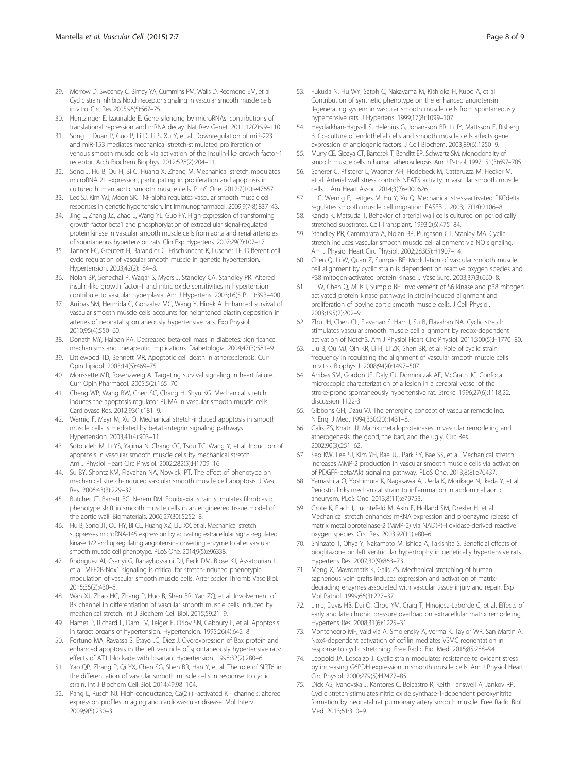- <span id="page-7-0"></span>29. Morrow D, Sweeney C, Birney YA, Cummins PM, Walls D, Redmond EM, et al. Cyclic strain inhibits Notch receptor signaling in vascular smooth muscle cells in vitro. Circ Res. 2005;96(5):567–75.
- 30. Huntzinger E, Izaurralde E. Gene silencing by microRNAs: contributions of translational repression and mRNA decay. Nat Rev Genet. 2011;12(2):99–110.
- 31. Song L, Duan P, Guo P, Li D, Li S, Xu Y, et al. Downregulation of miR-223 and miR-153 mediates mechanical stretch-stimulated proliferation of venous smooth muscle cells via activation of the insulin-like growth factor-1 receptor. Arch Biochem Biophys. 2012;528(2):204–11.
- 32. Song J, Hu B, Qu H, Bi C, Huang X, Zhang M. Mechanical stretch modulates microRNA 21 expression, participating in proliferation and apoptosis in cultured human aortic smooth muscle cells. PLoS One. 2012;7(10):e47657.
- 33. Lee SJ, Kim WJ, Moon SK. TNF-alpha regulates vascular smooth muscle cell responses in genetic hypertension. Int Immunopharmacol. 2009;9(7-8):837–43.
- 34. Jing L, Zhang JZ, Zhao L, Wang YL, Guo FY. High-expression of transforming growth factor beta1 and phosphorylation of extracellular signal-regulated protein kinase in vascular smooth muscle cells from aorta and renal arterioles of spontaneous hypertension rats. Clin Exp Hypertens. 2007;29(2):107–17.
- 35. Tanner FC, Greutert H, Barandier C, Frischknecht K, Luscher TF. Different cell cycle regulation of vascular smooth muscle in genetic hypertension. Hypertension. 2003;42(2):184–8.
- 36. Nolan BP, Senechal P, Waqar S, Myers J, Standley CA, Standley PR. Altered insulin-like growth factor-1 and nitric oxide sensitivities in hypertension contribute to vascular hyperplasia. Am J Hypertens. 2003;16(5 Pt 1):393–400.
- 37. Arribas SM, Hermida C, Gonzalez MC, Wang Y, Hinek A. Enhanced survival of vascular smooth muscle cells accounts for heightened elastin deposition in arteries of neonatal spontaneously hypertensive rats. Exp Physiol. 2010;95(4):550–60.
- 38. Donath MY, Halban PA. Decreased beta-cell mass in diabetes: significance, mechanisms and therapeutic implications. Diabetologia. 2004;47(3):581–9.
- 39. Littlewood TD, Bennett MR. Apoptotic cell death in atherosclerosis. Curr Opin Lipidol. 2003;14(5):469–75.
- 40. Morissette MR, Rosenzweig A. Targeting survival signaling in heart failure. Curr Opin Pharmacol. 2005;5(2):165–70.
- 41. Cheng WP, Wang BW, Chen SC, Chang H, Shyu KG. Mechanical stretch induces the apoptosis regulator PUMA in vascular smooth muscle cells. Cardiovasc Res. 2012;93(1):181–9.
- 42. Wernig F, Mayr M, Xu Q. Mechanical stretch-induced apoptosis in smooth muscle cells is mediated by beta1-integrin signaling pathways. Hypertension. 2003;41(4):903–11.
- 43. Sotoudeh M, Li YS, Yajima N, Chang CC, Tsou TC, Wang Y, et al. Induction of apoptosis in vascular smooth muscle cells by mechanical stretch. Am J Physiol Heart Circ Physiol. 2002;282(5):H1709–16.
- 44. Su BY, Shontz KM, Flavahan NA, Nowicki PT. The effect of phenotype on mechanical stretch-induced vascular smooth muscle cell apoptosis. J Vasc Res. 2006;43(3):229–37.
- 45. Butcher JT, Barrett BC, Nerem RM. Equibiaxial strain stimulates fibroblastic phenotype shift in smooth muscle cells in an engineered tissue model of the aortic wall. Biomaterials. 2006;27(30):5252–8.
- 46. Hu B, Song JT, Qu HY, Bi CL, Huang XZ, Liu XX, et al. Mechanical stretch suppresses microRNA-145 expression by activating extracellular signal-regulated kinase 1/2 and upregulating angiotensin-converting enzyme to alter vascular smooth muscle cell phenotype. PLoS One. 2014;9(5):e96338.
- 47. Rodriguez AI, Csanyi G, Ranayhossaini DJ, Feck DM, Blose KJ, Assatourian L, et al. MEF2B-Nox1 signaling is critical for stretch-induced phenotypic modulation of vascular smooth muscle cells. Arterioscler Thromb Vasc Biol. 2015;35(2):430–8.
- 48. Wan XJ, Zhao HC, Zhang P, Huo B, Shen BR, Yan ZQ, et al. Involvement of BK channel in differentiation of vascular smooth muscle cells induced by mechanical stretch. Int J Biochem Cell Biol. 2015;59:21–9.
- Hamet P, Richard L, Dam TV, Teiger E, Orlov SN, Gaboury L, et al. Apoptosis in target organs of hypertension. Hypertension. 1995;26(4):642–8.
- 50. Fortuno MA, Ravassa S, Etayo JC, Diez J. Overexpression of Bax protein and enhanced apoptosis in the left ventricle of spontaneously hypertensive rats: effects of AT1 blockade with losartan. Hypertension. 1998;32(2):280–6.
- 51. Yao QP, Zhang P, Qi YX, Chen SG, Shen BR, Han Y, et al. The role of SIRT6 in the differentiation of vascular smooth muscle cells in response to cyclic strain. Int J Biochem Cell Biol. 2014;49:98–104.
- 52. Pang L, Rusch NJ. High-conductance, Ca(2+) -activated K+ channels: altered expression profiles in aging and cardiovascular disease. Mol Interv. 2009;9(5):230–3.
- 53. Fukuda N, Hu WY, Satoh C, Nakayama M, Kishioka H, Kubo A, et al. Contribution of synthetic phenotype on the enhanced angiotensin II-generating system in vascular smooth muscle cells from spontaneously hypertensive rats. J Hypertens. 1999;17(8):1099–107.
- 54. Heydarkhan-Hagvall S, Helenius G, Johansson BR, Li JY, Mattsson E, Risberg B. Co-culture of endothelial cells and smooth muscle cells affects gene expression of angiogenic factors. J Cell Biochem. 2003;89(6):1250–9.
- 55. Murry CE, Gipaya CT, Bartosek T, Benditt EP, Schwartz SM. Monoclonality of smooth muscle cells in human atherosclerosis. Am J Pathol. 1997;151(3):697–705.
- 56. Scherer C, Pfisterer L, Wagner AH, Hodebeck M, Cattaruzza M, Hecker M, et al. Arterial wall stress controls NFAT5 activity in vascular smooth muscle cells. J Am Heart Assoc. 2014;3(2):e000626.
- 57. Li C, Wernig F, Leitges M, Hu Y, Xu Q. Mechanical stress-activated PKCdelta regulates smooth muscle cell migration. FASEB J. 2003;17(14):2106–8.
- 58. Kanda K, Matsuda T. Behavior of arterial wall cells cultured on periodically stretched substrates. Cell Transplant. 1993;2(6):475–84.
- 59. Standley PR, Cammarata A, Nolan BP, Purgason CT, Stanley MA. Cyclic stretch induces vascular smooth muscle cell alignment via NO signaling. Am J Physiol Heart Circ Physiol. 2002;283(5):H1907–14.
- 60. Chen Q, Li W, Quan Z, Sumpio BE. Modulation of vascular smooth muscle cell alignment by cyclic strain is dependent on reactive oxygen species and P38 mitogen-activated protein kinase. J Vasc Surg. 2003;37(3):660–8.
- 61. Li W, Chen Q, Mills I, Sumpio BE. Involvement of S6 kinase and p38 mitogen activated protein kinase pathways in strain-induced alignment and proliferation of bovine aortic smooth muscle cells. J Cell Physiol. 2003;195(2):202–9.
- 62. Zhu JH, Chen CL, Flavahan S, Harr J, Su B, Flavahan NA. Cyclic stretch stimulates vascular smooth muscle cell alignment by redox-dependent activation of Notch3. Am J Physiol Heart Circ Physiol. 2011;300(5):H1770–80.
- 63. Liu B, Qu MJ, Qin KR, Li H, Li ZK, Shen BR, et al. Role of cyclic strain frequency in regulating the alignment of vascular smooth muscle cells in vitro. Biophys J. 2008;94(4):1497–507.
- 64. Arribas SM, Gordon JF, Daly CJ, Dominiczak AF, McGrath JC. Confocal microscopic characterization of a lesion in a cerebral vessel of the stroke-prone spontaneously hypertensive rat. Stroke. 1996;27(6):1118,22. discussion 1122-3.
- 65. Gibbons GH, Dzau VJ. The emerging concept of vascular remodeling. N Engl J Med. 1994;330(20):1431–8.
- 66. Galis ZS, Khatri JJ. Matrix metalloproteinases in vascular remodeling and atherogenesis: the good, the bad, and the ugly. Circ Res. 2002;90(3):251–62.
- 67. Seo KW, Lee SJ, Kim YH, Bae JU, Park SY, Bae SS, et al. Mechanical stretch increases MMP-2 production in vascular smooth muscle cells via activation of PDGFR-beta/Akt signaling pathway. PLoS One. 2013;8(8):e70437.
- Yamashita O, Yoshimura K, Nagasawa A, Ueda K, Morikage N, Ikeda Y, et al. Periostin links mechanical strain to inflammation in abdominal aortic aneurysm. PLoS One. 2013;8(11):e79753.
- 69. Grote K, Flach I, Luchtefeld M, Akin E, Holland SM, Drexler H, et al. Mechanical stretch enhances mRNA expression and proenzyme release of matrix metalloproteinase-2 (MMP-2) via NAD(P)H oxidase-derived reactive oxygen species. Circ Res. 2003;92(11):e80–6.
- 70. Shinzato T, Ohya Y, Nakamoto M, Ishida A, Takishita S. Beneficial effects of pioglitazone on left ventricular hypertrophy in genetically hypertensive rats. Hypertens Res. 2007;30(9):863–73.
- 71. Meng X, Mavromatis K, Galis ZS. Mechanical stretching of human saphenous vein grafts induces expression and activation of matrixdegrading enzymes associated with vascular tissue injury and repair. Exp Mol Pathol. 1999;66(3):227–37.
- 72. Lin J, Davis HB, Dai Q, Chou YM, Craig T, Hinojosa-Laborde C, et al. Effects of early and late chronic pressure overload on extracellular matrix remodeling. Hypertens Res. 2008;31(6):1225–31.
- 73. Montenegro MF, Valdivia A, Smolensky A, Verma K, Taylor WR, San Martin A. Nox4-dependent activation of cofilin mediates VSMC reorientation in response to cyclic stretching. Free Radic Biol Med. 2015;85:288–94.
- 74. Leopold JA, Loscalzo J. Cyclic strain modulates resistance to oxidant stress by increasing G6PDH expression in smooth muscle cells. Am J Physiol Heart Circ Physiol. 2000;279(5):H2477–85.
- 75. Dick AS, Ivanovska J, Kantores C, Belcastro R, Keith Tanswell A, Jankov RP. Cyclic stretch stimulates nitric oxide synthase-1-dependent peroxynitrite formation by neonatal rat pulmonary artery smooth muscle. Free Radic Biol Med. 2013;61:310–9.